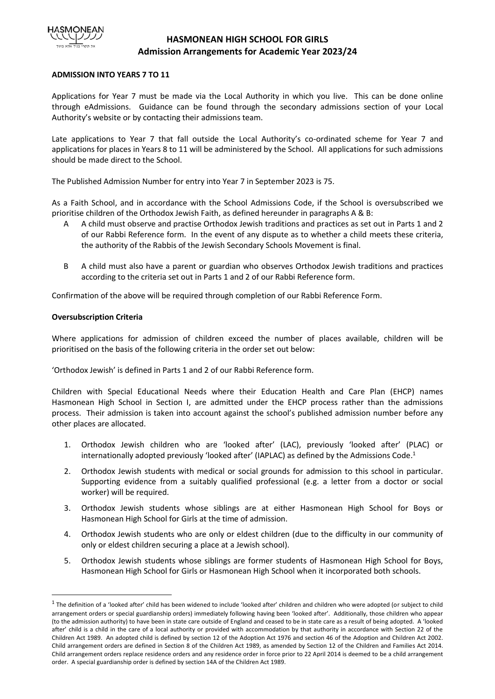

# **HASMONEAN HIGH SCHOOL FOR GIRLS Admission Arrangements for Academic Year 2023/24**

## **ADMISSION INTO YEARS 7 TO 11**

Applications for Year 7 must be made via the Local Authority in which you live. This can be done online through eAdmissions. Guidance can be found through the secondary admissions section of your Local Authority's website or by contacting their admissions team.

Late applications to Year 7 that fall outside the Local Authority's co-ordinated scheme for Year 7 and applications for places in Years 8 to 11 will be administered by the School. All applications for such admissions should be made direct to the School.

The Published Admission Number for entry into Year 7 in September 2023 is 75.

As a Faith School, and in accordance with the School Admissions Code, if the School is oversubscribed we prioritise children of the Orthodox Jewish Faith, as defined hereunder in paragraphs A & B:

- A A child must observe and practise Orthodox Jewish traditions and practices as set out in Parts 1 and 2 of our Rabbi Reference form. In the event of any dispute as to whether a child meets these criteria, the authority of the Rabbis of the Jewish Secondary Schools Movement is final.
- B A child must also have a parent or guardian who observes Orthodox Jewish traditions and practices according to the criteria set out in Parts 1 and 2 of our Rabbi Reference form.

Confirmation of the above will be required through completion of our Rabbi Reference Form.

### **Oversubscription Criteria**

Where applications for admission of children exceed the number of places available, children will be prioritised on the basis of the following criteria in the order set out below:

'Orthodox Jewish' is defined in Parts 1 and 2 of our Rabbi Reference form.

Children with Special Educational Needs where their Education Health and Care Plan (EHCP) names Hasmonean High School in Section I, are admitted under the EHCP process rather than the admissions process. Their admission is taken into account against the school's published admission number before any other places are allocated.

- 1. Orthodox Jewish children who are 'looked after' (LAC), previously 'looked after' (PLAC) or internationally adopted previously 'looked after' (IAPLAC) as defined by the Admissions Code. 1
- 2. Orthodox Jewish students with medical or social grounds for admission to this school in particular. Supporting evidence from a suitably qualified professional (e.g. a letter from a doctor or social worker) will be required.
- 3. Orthodox Jewish students whose siblings are at either Hasmonean High School for Boys or Hasmonean High School for Girls at the time of admission.
- 4. Orthodox Jewish students who are only or eldest children (due to the difficulty in our community of only or eldest children securing a place at a Jewish school).
- 5. Orthodox Jewish students whose siblings are former students of Hasmonean High School for Boys, Hasmonean High School for Girls or Hasmonean High School when it incorporated both schools.

 $^{\text{1}}$  The definition of a 'looked after' child has been widened to include 'looked after' children and children who were adopted (or subject to child arrangement orders or special guardianship orders) immediately following having been 'looked after'. Additionally, those children who appear (to the admission authority) to have been in state care outside of England and ceased to be in state care as a result of being adopted. A 'looked after' child is a child in the care of a local authority or provided with accommodation by that authority in accordance with Section 22 of the Children Act 1989. An adopted child is defined by section 12 of the Adoption Act 1976 and section 46 of the Adoption and Children Act 2002. Child arrangement orders are defined in Section 8 of the Children Act 1989, as amended by Section 12 of the Children and Families Act 2014. Child arrangement orders replace residence orders and any residence order in force prior to 22 April 2014 is deemed to be a child arrangement order. A special guardianship order is defined by section 14A of the Children Act 1989.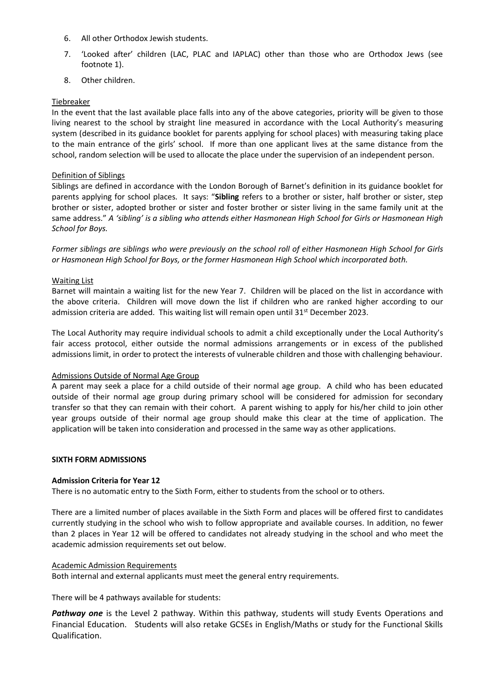- 6. All other Orthodox Jewish students.
- 7. 'Looked after' children (LAC, PLAC and IAPLAC) other than those who are Orthodox Jews (see footnote 1).
- 8. Other children.

## Tiebreaker

In the event that the last available place falls into any of the above categories, priority will be given to those living nearest to the school by straight line measured in accordance with the Local Authority's measuring system (described in its guidance booklet for parents applying for school places) with measuring taking place to the main entrance of the girls' school. If more than one applicant lives at the same distance from the school, random selection will be used to allocate the place under the supervision of an independent person.

## Definition of Siblings

Siblings are defined in accordance with the London Borough of Barnet's definition in its guidance booklet for parents applying for school places*.* It says: "**Sibling** refers to a brother or sister, half brother or sister, step brother or sister, adopted brother or sister and foster brother or sister living in the same family unit at the same address." *A 'sibling' is a sibling who attends either Hasmonean High School for Girls or Hasmonean High School for Boys.* 

*Former siblings are siblings who were previously on the school roll of either Hasmonean High School for Girls or Hasmonean High School for Boys, or the former Hasmonean High School which incorporated both.*

### Waiting List

Barnet will maintain a waiting list for the new Year 7. Children will be placed on the list in accordance with the above criteria. Children will move down the list if children who are ranked higher according to our admission criteria are added. This waiting list will remain open until 31<sup>st</sup> December 2023.

The Local Authority may require individual schools to admit a child exceptionally under the Local Authority's fair access protocol, either outside the normal admissions arrangements or in excess of the published admissions limit, in order to protect the interests of vulnerable children and those with challenging behaviour.

### Admissions Outside of Normal Age Group

A parent may seek a place for a child outside of their normal age group. A child who has been educated outside of their normal age group during primary school will be considered for admission for secondary transfer so that they can remain with their cohort. A parent wishing to apply for his/her child to join other year groups outside of their normal age group should make this clear at the time of application. The application will be taken into consideration and processed in the same way as other applications.

### **SIXTH FORM ADMISSIONS**

# **Admission Criteria for Year 12**

There is no automatic entry to the Sixth Form, either to students from the school or to others.

There are a limited number of places available in the Sixth Form and places will be offered first to candidates currently studying in the school who wish to follow appropriate and available courses. In addition, no fewer than 2 places in Year 12 will be offered to candidates not already studying in the school and who meet the academic admission requirements set out below.

### Academic Admission Requirements

Both internal and external applicants must meet the general entry requirements.

There will be 4 pathways available for students:

Pathway one is the Level 2 pathway. Within this pathway, students will study Events Operations and Financial Education. Students will also retake GCSEs in English/Maths or study for the Functional Skills Qualification.